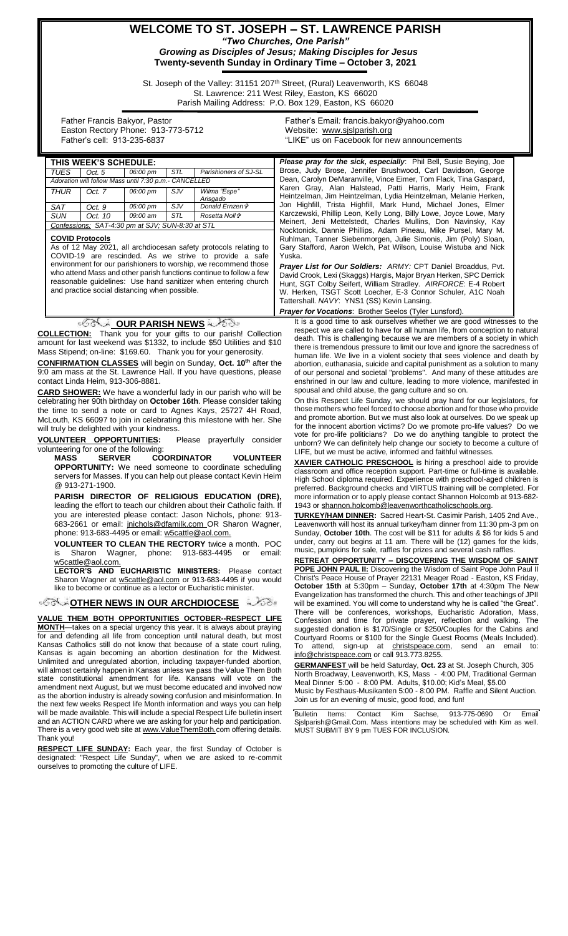## **WELCOME TO ST. JOSEPH – ST. LAWRENCE PARISH** *"Two Churches, One Parish"*

*Growing as Disciples of Jesus; Making Disciples for Jesus* **Twenty-seventh Sunday in Ordinary Time – October 3, 2021**

St. Joseph of the Valley: 31151 207<sup>th</sup> Street, (Rural) Leavenworth, KS 66048 St. Lawrence: 211 West Riley, Easton, KS 66020 Parish Mailing Address: P.O. Box 129, Easton, KS 66020

 Father Francis Bakyor, Pastor Easton Rectory Phone: 913-773-5712 Father's cell: 913-235-6837

designated: "Respect Life Sunday", when we are asked to re-commit

ourselves to promoting the culture of LIFE.

Father's Email*:* francis.bakyor@yahoo.com Website: [www.sjslparish.org](http://www.sjslparish.org/) "LIKE" us on Facebook for new announcements

|                                                                                                                                                    | THIS WEEK'S SCHEDULE:                            |          |     |                                                                                                                                                    | <b>Please pray for the sick, especially:</b> Phil Bell, Susie Beying, Joe                                                                               |  |
|----------------------------------------------------------------------------------------------------------------------------------------------------|--------------------------------------------------|----------|-----|----------------------------------------------------------------------------------------------------------------------------------------------------|---------------------------------------------------------------------------------------------------------------------------------------------------------|--|
| <b>TUES</b><br>Parishioners of SJ-SL<br>Oct. 5<br>06:00 pm<br>STL                                                                                  |                                                  |          |     |                                                                                                                                                    | Brose, Judy Brose, Jennifer Brushwood, Carl Davidson, George                                                                                            |  |
| Adoration will follow Mass until 7:30 p.m.- CANCELLED                                                                                              |                                                  |          |     |                                                                                                                                                    | Dean, Carolyn DeMaranville, Vince Eimer, Tom Flack, Tina Gaspard,<br>Karen Gray, Alan Halstead, Patti Harris, Marly Heim, Frank                         |  |
| <b>THUR</b>                                                                                                                                        | Oct. 7                                           | 06:00 pm | SJV | Wilma "Espe"                                                                                                                                       | Heintzelman, Jim Heintzelman, Lydia Heintzelman, Melanie Herken,                                                                                        |  |
| <b>SAT</b>                                                                                                                                         | Oct. 9                                           | 05:00 pm | SJV | Arisgado<br>Donald Ernzen <sup>+</sup>                                                                                                             | Jon Highfill, Trista Highfill, Mark Hund, Michael Jones, Elmer                                                                                          |  |
| <b>SUN</b>                                                                                                                                         | Oct. 10                                          | 09:00 am | STL | Rosetta Noll <sup>+</sup>                                                                                                                          | Karczewski, Phillip Leon, Kelly Long, Billy Lowe, Joyce Lowe, Mary                                                                                      |  |
|                                                                                                                                                    | Confessions: SAT-4:30 pm at SJV; SUN-8:30 at STL |          |     |                                                                                                                                                    | Meinert, Jeni Mettelstedt, Charles Mullins, Don Navinsky, Kay                                                                                           |  |
|                                                                                                                                                    |                                                  |          |     |                                                                                                                                                    | Nocktonick, Dannie Phillips, Adam Pineau, Mike Pursel, Mary M.                                                                                          |  |
| <b>COVID Protocols</b>                                                                                                                             |                                                  |          |     |                                                                                                                                                    | Ruhlman, Tanner Siebenmorgen, Julie Simonis, Jim (Poly) Sloan,                                                                                          |  |
| As of 12 May 2021, all archdiocesan safety protocols relating to<br>COVID-19 are rescinded. As we strive to provide a safe                         |                                                  |          |     |                                                                                                                                                    | Gary Stafford, Aaron Welch, Pat Wilson, Louise Wistuba and Nick<br>Yuska.                                                                               |  |
| environment for our parishioners to worship, we recommend those                                                                                    |                                                  |          |     |                                                                                                                                                    |                                                                                                                                                         |  |
| who attend Mass and other parish functions continue to follow a few                                                                                |                                                  |          |     |                                                                                                                                                    | Prayer List for Our Soldiers: ARMY: CPT Daniel Broaddus, Pvt.<br>David Crook, Lexi (Skaggs) Hargis, Major Bryan Herken, SPC Derrick                     |  |
| reasonable guidelines: Use hand sanitizer when entering church                                                                                     |                                                  |          |     |                                                                                                                                                    | Hunt, SGT Colby Seifert, William Stradley. AIRFORCE: E-4 Robert                                                                                         |  |
| and practice social distancing when possible.                                                                                                      |                                                  |          |     |                                                                                                                                                    | W. Herken, TSGT Scott Loecher, E-3 Connor Schuler, A1C Noah                                                                                             |  |
|                                                                                                                                                    |                                                  |          |     |                                                                                                                                                    | Tattershall. NAVY: YNS1 (SS) Kevin Lansing.                                                                                                             |  |
|                                                                                                                                                    |                                                  |          |     |                                                                                                                                                    | <b>Prayer for Vocations: Brother Seelos (Tyler Lunsford).</b>                                                                                           |  |
|                                                                                                                                                    |                                                  |          |     | ুৰ্বীক্ষা DUR PARISH NEWS কৰিছিল                                                                                                                   | It is a good time to ask ourselves whether we are good witnesses to the                                                                                 |  |
|                                                                                                                                                    |                                                  |          |     | <b>COLLECTION:</b> Thank you for your gifts to our parish! Collection                                                                              | respect we are called to have for all human life, from conception to natural                                                                            |  |
|                                                                                                                                                    |                                                  |          |     | amount for last weekend was \$1332, to include \$50 Utilities and \$10                                                                             | death. This is challenging because we are members of a society in which                                                                                 |  |
|                                                                                                                                                    |                                                  |          |     | Mass Stipend; on-line: \$169.60. Thank you for your generosity.                                                                                    | there is tremendous pressure to limit our love and ignore the sacredness of<br>human life. We live in a violent society that sees violence and death by |  |
|                                                                                                                                                    |                                                  |          |     | <b>CONFIRMATION CLASSES</b> will begin on Sunday, Oct. 10 <sup>th</sup> after the                                                                  | abortion, euthanasia, suicide and capital punishment as a solution to many                                                                              |  |
|                                                                                                                                                    |                                                  |          |     | 9:0 am mass at the St. Lawrence Hall. If you have questions, please                                                                                | of our personal and societal "problems". And many of these attitudes are                                                                                |  |
|                                                                                                                                                    | contact Linda Heim, 913-306-8881.                |          |     |                                                                                                                                                    | enshrined in our law and culture, leading to more violence, manifested in                                                                               |  |
|                                                                                                                                                    |                                                  |          |     | <b>CARD SHOWER:</b> We have a wonderful lady in our parish who will be                                                                             | spousal and child abuse, the gang culture and so on.                                                                                                    |  |
| On this Respect Life Sunday, we should pray hard for our legislators, for<br>celebrating her 90th birthday on October 16th. Please consider taking |                                                  |          |     |                                                                                                                                                    |                                                                                                                                                         |  |
|                                                                                                                                                    |                                                  |          |     | the time to send a note or card to Agnes Kays, 25727 4H Road,                                                                                      | those mothers who feel forced to choose abortion and for those who provide                                                                              |  |
| McLouth, KS 66097 to join in celebrating this milestone with her. She                                                                              |                                                  |          |     |                                                                                                                                                    | and promote abortion. But we must also look at ourselves. Do we speak up<br>for the innocent abortion victims? Do we promote pro-life values? Do we     |  |
| will truly be delighted with your kindness.                                                                                                        |                                                  |          |     |                                                                                                                                                    | vote for pro-life politicians? Do we do anything tangible to protect the                                                                                |  |
|                                                                                                                                                    | VOLUNTEER OPPORTUNITIES:                         |          |     | Please prayerfully consider                                                                                                                        | unborn? We can definitely help change our society to become a culture of                                                                                |  |
|                                                                                                                                                    | volunteering for one of the following:           |          |     |                                                                                                                                                    | LIFE, but we must be active, informed and faithful witnesses.                                                                                           |  |
| <b>SERVER</b><br><b>COORDINATOR</b><br><b>VOLUNTEER</b><br>MASS                                                                                    |                                                  |          |     |                                                                                                                                                    | <b>XAVIER CATHOLIC PRESCHOOL</b> is hiring a preschool aide to provide                                                                                  |  |
| <b>OPPORTUNITY:</b> We need someone to coordinate scheduling<br>servers for Masses. If you can help out please contact Kevin Heim                  |                                                  |          |     |                                                                                                                                                    | classroom and office reception support. Part-time or full-time is available.                                                                            |  |
| @ 913-271-1900.                                                                                                                                    |                                                  |          |     |                                                                                                                                                    | High School diploma required. Experience with preschool-aged children is                                                                                |  |
| PARISH DIRECTOR OF RELIGIOUS EDUCATION (DRE),                                                                                                      |                                                  |          |     |                                                                                                                                                    | preferred. Background checks and VIRTUS training will be completed. For<br>more information or to apply please contact Shannon Holcomb at 913-682-      |  |
| leading the effort to teach our children about their Catholic faith. If                                                                            |                                                  |          |     |                                                                                                                                                    | 1943 or shannon.holcomb@leavenworthcatholicschools.org.                                                                                                 |  |
| you are interested please contact: Jason Nichols, phone: 913-                                                                                      |                                                  |          |     |                                                                                                                                                    | <b>TURKEY/HAM DINNER:</b> Sacred Heart-St. Casimir Parish, 1405 2nd Ave.,                                                                               |  |
| 683-2661 or email: jnichols@dfamilk.com OR Sharon Wagner,                                                                                          |                                                  |          |     |                                                                                                                                                    | Leavenworth will host its annual turkey/ham dinner from 11:30 pm-3 pm on                                                                                |  |
| phone: 913-683-4495 or email: w5cattle@aol.com.                                                                                                    |                                                  |          |     |                                                                                                                                                    | Sunday, October 10th. The cost will be \$11 for adults & \$6 for kids 5 and                                                                             |  |
| <b>VOLUNTEER TO CLEAN THE RECTORY twice a month. POC</b>                                                                                           |                                                  |          |     |                                                                                                                                                    | under, carry out begins at 11 am. There will be (12) games for the kids,                                                                                |  |
| is                                                                                                                                                 | Sharon Wagner,                                   |          |     | phone: 913-683-4495<br>or<br>email:                                                                                                                | music, pumpkins for sale, raffles for prizes and several cash raffles.                                                                                  |  |
|                                                                                                                                                    | w5cattle@aol.com.                                |          |     |                                                                                                                                                    | <b>RETREAT OPPORTUNITY - DISCOVERING THE WISDOM OF SAINT</b>                                                                                            |  |
|                                                                                                                                                    |                                                  |          |     | <b>LECTOR'S AND EUCHARISTIC MINISTERS:</b> Please contact                                                                                          | <b>POPE JOHN PAUL II:</b> Discovering the Wisdom of Saint Pope John Paul II                                                                             |  |
| Sharon Wagner at w5cattle@aol.com or 913-683-4495 if you would<br>like to become or continue as a lector or Eucharistic minister.                  |                                                  |          |     |                                                                                                                                                    | Christ's Peace House of Prayer 22131 Meager Road - Easton, KS Friday,<br><b>October 15th</b> at 5:30pm – Sunday, <b>October 17th</b> at 4:30pm The New  |  |
|                                                                                                                                                    |                                                  |          |     |                                                                                                                                                    | Evangelization has transformed the church. This and other teachings of JPII                                                                             |  |
|                                                                                                                                                    |                                                  |          |     | <b><i>SSS SOTHER NEWS IN OUR ARCHDIOCESE</i></b>                                                                                                   | will be examined. You will come to understand why he is called "the Great".                                                                             |  |
|                                                                                                                                                    |                                                  |          |     |                                                                                                                                                    | There will be conferences, workshops, Eucharistic Adoration, Mass,                                                                                      |  |
|                                                                                                                                                    |                                                  |          |     | VALUE THEM BOTH OPPORTUNITIES OCTOBER--RESPECT LIFE<br><b>MONTH</b> —takes on a special urgency this year. It is always about praying              | Confession and time for private prayer, reflection and walking. The                                                                                     |  |
|                                                                                                                                                    |                                                  |          |     | for and defending all life from conception until natural death, but most                                                                           | suggested donation is \$170/Single or \$250/Couples for the Cabins and                                                                                  |  |
|                                                                                                                                                    |                                                  |          |     | Kansas Catholics still do not know that because of a state court ruling,                                                                           | Courtyard Rooms or \$100 for the Single Guest Rooms (Meals Included).<br>To attend, sign-up at christspeace.com, send an email to:                      |  |
| Kansas is again becoming an abortion destination for the Midwest.                                                                                  |                                                  |          |     |                                                                                                                                                    | info@christspeace.com or call 913.773.8255.                                                                                                             |  |
|                                                                                                                                                    |                                                  |          |     | Unlimited and unregulated abortion, including taxpayer-funded abortion,                                                                            | <b>GERMANFEST</b> will be held Saturday, Oct. 23 at St. Joseph Church, 305                                                                              |  |
|                                                                                                                                                    |                                                  |          |     | will almost certainly happen in Kansas unless we pass the Value Them Both                                                                          | North Broadway, Leavenworth, KS, Mass - 4:00 PM, Traditional German                                                                                     |  |
|                                                                                                                                                    |                                                  |          |     | state constitutional amendment for life. Kansans will vote on the                                                                                  | Meal Dinner 5:00 - 8:00 PM. Adults, \$10.00; Kid's Meal, \$5.00                                                                                         |  |
|                                                                                                                                                    |                                                  |          |     | amendment next August, but we must become educated and involved now<br>as the abortion industry is already sowing confusion and misinformation. In | Music by Festhaus-Musikanten 5:00 - 8:00 PM. Raffle and Silent Auction.                                                                                 |  |
|                                                                                                                                                    |                                                  |          |     | the next few weeks Respect life Month information and ways you can help                                                                            | Join us for an evening of music, good food, and fun!                                                                                                    |  |
|                                                                                                                                                    |                                                  |          |     | will be made available. This will include a special Respect Life bulletin insert                                                                   | <b>Bulletin</b><br>Contact<br>Kim<br>Sachse,<br>Email<br>Items:<br>913-775-0690<br>0r                                                                   |  |
|                                                                                                                                                    |                                                  |          |     | and an ACTION CARD where we are asking for your help and participation.                                                                            | Sislparish@Gmail.Com. Mass intentions may be scheduled with Kim as well.                                                                                |  |
|                                                                                                                                                    |                                                  |          |     | There is a very good web site at www. Value Them Both.com offering details.                                                                        | MUST SUBMIT BY 9 pm TUES FOR INCLUSION.                                                                                                                 |  |
| Thank you!                                                                                                                                         |                                                  |          |     |                                                                                                                                                    |                                                                                                                                                         |  |
|                                                                                                                                                    |                                                  |          |     | <b>RESPECT LIFE SUNDAY:</b> Each year, the first Sunday of October is                                                                              |                                                                                                                                                         |  |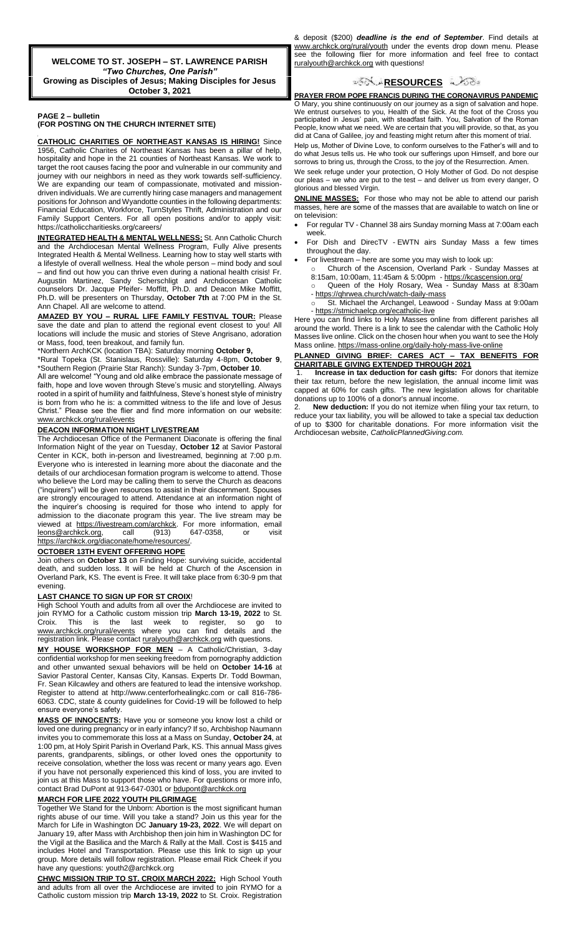**WELCOME TO ST. JOSEPH – ST. LAWRENCE PARISH** *"Two Churches, One Parish"* **Growing as Disciples of Jesus; Making Disciples for Jesus October 3, 2021**

#### **PAGE 2 – bulletin (FOR POSTING ON THE CHURCH INTERNET SITE)**

f **CATHOLIC CHARITIES OF NORTHEAST KANSAS IS HIRING!** Since 1956, Catholic Charites of Northeast Kansas has been a pillar of help, hospitality and hope in the 21 counties of Northeast Kansas. We work to target the root causes facing the poor and vulnerable in our community and journey with our neighbors in need as they work towards self-sufficiency. We are expanding our team of compassionate, motivated and missiondriven individuals. We are currently hiring case managers and management positions for Johnson and Wyandotte counties in the following departments: Financial Education, Workforce, TurnStyles Thrift, Administration and our Family Support Centers. For all open positions and/or to apply visit: https://catholiccharitiesks.org/careers/

**INTEGRATED HEALTH & MENTAL WELLNESS:** St. Ann Catholic Church and the Archdiocesan Mental Wellness Program, Fully Alive presents Integrated Health & Mental Wellness. Learning how to stay well starts with a lifestyle of overall wellness. Heal the whole person – mind body and soul – and find out how you can thrive even during a national health crisis! Fr. Augustin Martinez, Sandy Scherschligt and Archdiocesan Catholic counselors Dr. Jacque Pfeifer- Moffitt, Ph.D. and Deacon Mike Moffitt, Ph.D. will be presenters on Thursday, **October 7th** at 7:00 PM in the St. Ann Chapel. All are welcome to attend.

#### **AMAZED BY YOU – RURAL LIFE FAMILY FESTIVAL TOUR:** Please save the date and plan to attend the regional event closest to you! All locations will include the music and stories of Steve Angrisano, adoration or Mass, food, teen breakout, and family fun.

\*Northern ArchKCK (location TBA): Saturday morning **October 9,** \*Rural Topeka (St. Stanislaus, Rossville): Saturday 4-8pm, **October 9**, \*Southern Region (Prairie Star Ranch): Sunday 3-7pm, **October 10**.

All are welcome! "Young and old alike embrace the passionate message of faith, hope and love woven through Steve's music and storytelling. Always rooted in a spirit of humility and faithfulness, Steve's honest style of ministry is born from who he is: a committed witness to the life and love of Jesus Christ." Please see the flier and find more information on our website: [www.archkck.org/rural/events](http://www.archkck.org/rural/events)

#### **DEACON INFORMATION NIGHT LIVESTREAM**

The Archdiocesan Office of the Permanent Diaconate is offering the final Information Night of the year on Tuesday, **October 12** at Savior Pastoral Center in KCK, both in-person and livestreamed, beginning at 7:00 p.m. Everyone who is interested in learning more about the diaconate and the details of our archdiocesan formation program is welcome to attend. Those who believe the Lord may be calling them to serve the Church as deacons ("inquirers") will be given resources to assist in their discernment. Spouses are strongly encouraged to attend. Attendance at an information night of the inquirer's choosing is required for those who intend to apply for admission to the diaconate program this year. The live stream may be viewed at <u>https://livestream.com/archkck</u>. For more information, email<br><u>leons@archkck.org</u>, call (913) 647-0358, or visit leons@archkck.org, call (913) 647-0358, or visit https://archkck.org/diaconate/home/resources/.

## **OCTOBER 13TH EVENT OFFERING HOPE**

Join others on **October 13** on Finding Hope: surviving suicide, accidental death, and sudden loss. It will be held at Church of the Ascension in Overland Park, KS. The event is Free. It will take place from 6:30-9 pm that evening.

#### **LAST CHANCE TO SIGN UP FOR ST CROIX**!

High School Youth and adults from all over the Archdiocese are invited to join RYMO for a Catholic custom mission trip **March 13-19, 2022** to St. Croix. This is the last week to register, so go to www.archkck.org/rural/events where you can find details and the registration link. Please contact ruralyouth@archkck.org with questions.

**MY HOUSE WORKSHOP FOR MEN** – A Catholic/Christian, 3-day confidential workshop for men seeking freedom from pornography addiction and other unwanted sexual behaviors will be held on **October 14-16** at Savior Pastoral Center, Kansas City, Kansas. Experts Dr. Todd Bowman, Fr. Sean Kilcawley and others are featured to lead the intensive workshop. Register to attend at http://www.centerforhealingkc.com or call 816-786- 6063. CDC, state & county guidelines for Covid-19 will be followed to help ensure everyone's safety.

**MASS OF INNOCENTS:** Have you or someone you know lost a child or loved one during pregnancy or in early infancy? If so, Archbishop Naumann invites you to commemorate this loss at a Mass on Sunday, **October 24**, at 1:00 pm, at Holy Spirit Parish in Overland Park, KS. This annual Mass gives parents, grandparents, siblings, or other loved ones the opportunity to receive consolation, whether the loss was recent or many years ago. Even if you have not personally experienced this kind of loss, you are invited to join us at this Mass to support those who have. For questions or more info, contact Brad DuPont at 913-647-0301 or bdupont@archkck.org

## **MARCH FOR LIFE 2022 YOUTH PILGRIMAGE**

Together We Stand for the Unborn: Abortion is the most significant human rights abuse of our time. Will you take a stand? Join us this year for the March for Life in Washington DC **January 19-23, 2022**. We will depart on January 19, after Mass with Archbishop then join him in Washington DC for the Vigil at the Basilica and the March & Rally at the Mall. Cost is \$415 and includes Hotel and Transportation. Please use this link to sign up your group. More details will follow registration. Please email Rick Cheek if you have any questions: youth2@archkck.org

**CHWC MISSION TRIP TO ST. CROIX MARCH 2022:** High School Youth and adults from all over the Archdiocese are invited to join RYMO for a Catholic custom mission trip **March 13-19, 2022** to St. Croix. Registration

& deposit (\$200) *deadline is the end of September*. Find details at www.archkck.org/rural/youth under the events drop down menu. Please see the following flier for more information and feel free to contact ruralyouth@archkck.org with questions!

## ಿನ್ಲ್-<mark>[R](http://www.google.com/url?sa=i&rct=j&q=&esrc=s&source=images&cd=&cad=rja&uact=8&ved=0CAcQjRxqFQoTCL3M6dfYlskCFQfIYwodK-sMqA&url=http://www.clipartpanda.com/categories/corner-scroll-design&psig=AFQjCNEcNGu-GRs-N_tcfj31hDOCKS7EqQ&ust=1447823402338642)ESOURCES</mark> ಎ∕ನ∂ಃ

**PRAYER FROM POPE FRANCIS DURING THE CORONAVIRUS PANDEMIC** O Mary, you shine continuously on our journey as a sign of salvation and hope. We entrust ourselves to you, Health of the Sick. At the foot of the Cross you participated in Jesus' pain, with steadfast faith. You, Salvation of the Roman People, know what we need. We are certain that you will provide, so that, as you did at Cana of Galilee, joy and feasting might return after this moment of trial.

Help us, Mother of Divine Love, to conform ourselves to the Father's will and to do what Jesus tells us. He who took our sufferings upon Himself, and bore our sorrows to bring us, through the Cross, to the joy of the Resurrection. Amen.

We seek refuge under your protection, O Holy Mother of God. Do not despise our pleas – we who are put to the test – and deliver us from every danger, O glorious and blessed Virgin.

**ONLINE MASSES:** For those who may not be able to attend our parish masses, here are some of the masses that are available to watch on line or on television:

- For regular TV Channel 38 airs Sunday morning Mass at 7:00am each week.
- For Dish and DirecTV EWTN airs Sunday Mass a few times throughout the day.
- For livestream here are some you may wish to look up:
- Church of the Ascension, Overland Park Sunday Masses at 8:15am, 10:00am, 11:45am & 5:00pm - <https://kcascension.org/> Queen of the Holy Rosary, Wea - Sunday Mass at 8:30am
- <https://qhrwea.church/watch-daily-mass> St. Michael the Archangel, Leawood - Sunday Mass at 9:00am
- <https://stmichaelcp.org/ecatholic-live>

Here you can find links to Holy Masses online from different parishes all around the world. There is a link to see the calendar with the Catholic Holy Masses live online. Click on the chosen hour when you want to see the Holy Mass online[. https://mass-online.org/daily-holy-mass-live-online](https://mass-online.org/daily-holy-mass-live-online)

#### **PLANNED GIVING BRIEF: CARES ACT – TAX BENEFITS FOR CHARITABLE GIVING EXTENDED THROUGH 2021**

1. **Increase in tax deduction for cash gifts:** For donors that itemize their tax return, before the new legislation, the annual income limit was capped at 60% for cash gifts. The new legislation allows for charitable donations up to 100% of a donor's annual income.

2. **New deduction:** If you do not itemize when filing your tax return, to reduce your tax liability, you will be allowed to take a special tax deduction of up to \$300 for charitable donations. For more information visit the Archdiocesan website, *CatholicPlannedGiving.com.*